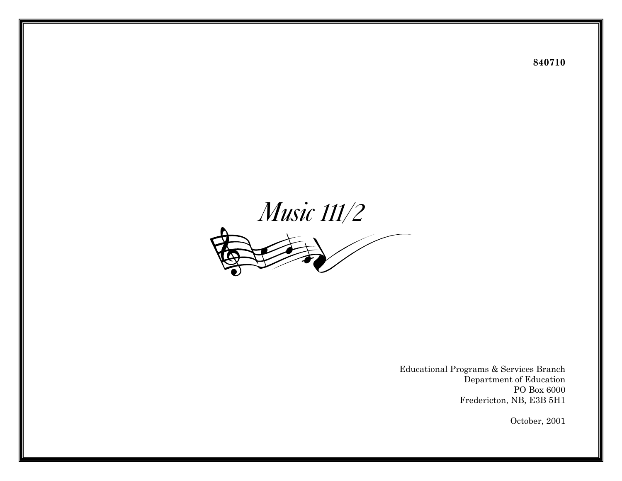

Educational Programs & Services Branch Department of Education PO Box 6000 Fredericton, NB, E3B 5H1

October, 2001

**840710**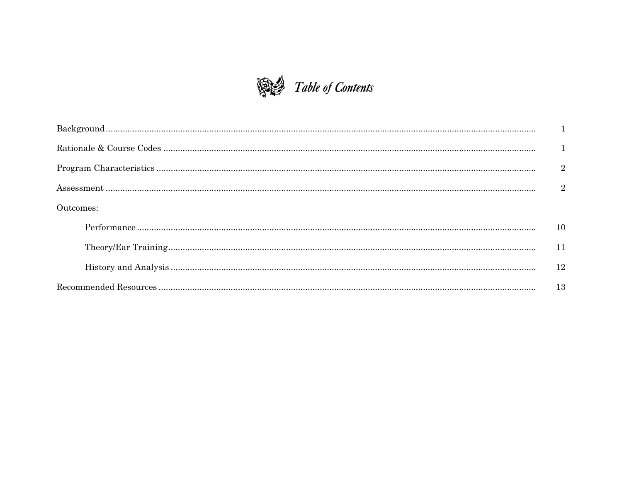

| $\overline{\phantom{a}2}$ |      |  |  |  |
|---------------------------|------|--|--|--|
|                           |      |  |  |  |
| Outcomes:                 |      |  |  |  |
|                           | 10   |  |  |  |
|                           | 11   |  |  |  |
|                           | 12   |  |  |  |
|                           | - 13 |  |  |  |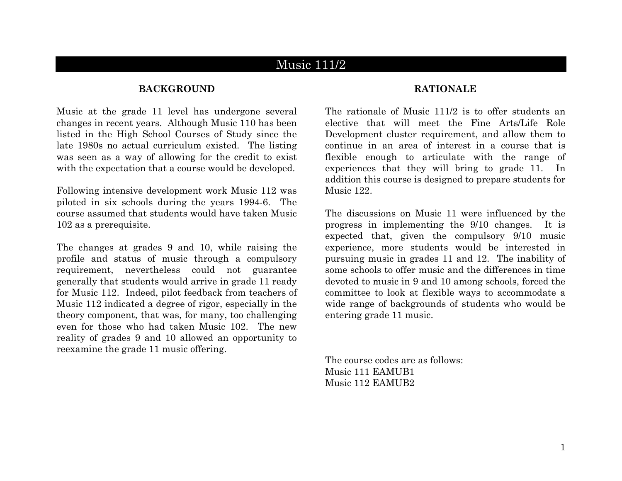# Music 111/2

#### **BACKGROUND RATIONALE**

Music at the grade 11 level has undergone several changes in recent years. Although Music 110 has been listed in the High School Courses of Study since the late 1980s no actual curriculum existed. The listing was seen as a way of allowing for the credit to exist with the expectation that a course would be developed.

Following intensive development work Music 112 was piloted in six schools during the years 1994-6. The course assumed that students would have taken Music 102 as a prerequisite.

The changes at grades 9 and 10, while raising the profile and status of music through a compulsory requirement, nevertheless could not guarantee generally that students would arrive in grade 11 ready for Music 112. Indeed, pilot feedback from teachers of Music 112 indicated a degree of rigor, especially in the theory component, that was, for many, too challenging even for those who had taken Music 102. The new reality of grades 9 and 10 allowed an opportunity to reexamine the grade 11 music offering.

The rationale of Music 111/2 is to offer students an elective that will meet the Fine Arts/Life Role Development cluster requirement, and allow them to continue in an area of interest in a course that is flexible enough to articulate with the range of experiences that they will bring to grade 11. In addition this course is designed to prepare students for Music 122.

The discussions on Music 11 were influenced by the progress in implementing the 9/10 changes. It is expected that, given the compulsory 9/10 music experience, more students would be interested in pursuing music in grades 11 and 12. The inability of some schools to offer music and the differences in time devoted to music in 9 and 10 among schools, forced the committee to look at flexible ways to accommodate a wide range of backgrounds of students who would be entering grade 11 music.

The course codes are as follows: Music 111 EAMUB1 Music 112 EAMUB2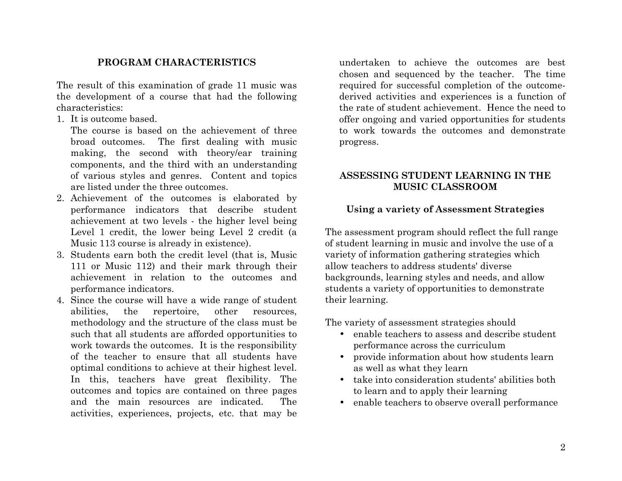#### **PROGRAM CHARACTERISTICS**

The result of this examination of grade 11 music was the development of a course that had the following characteristics:

1. It is outcome based.

The course is based on the achievement of three broad outcomes. The first dealing with music making, the second with theory/ear training components, and the third with an understanding of various styles and genres. Content and topics are listed under the three outcomes.

- 2. Achievement of the outcomes is elaborated by performance indicators that describe student achievement at two levels - the higher level being Level 1 credit, the lower being Level 2 credit (a Music 113 course is already in existence).
- 3. Students earn both the credit level (that is, Music 111 or Music 112) and their mark through their achievement in relation to the outcomes and performance indicators.
- 4. Since the course will have a wide range of student abilities, the repertoire, other resources, methodology and the structure of the class must be such that all students are afforded opportunities to work towards the outcomes. It is the responsibility of the teacher to ensure that all students have optimal conditions to achieve at their highest level. In this, teachers have great flexibility. The outcomes and topics are contained on three pages and the main resources are indicated. The activities, experiences, projects, etc. that may be

undertaken to achieve the outcomes are best chosen and sequenced by the teacher. The time required for successful completion of the outcomederived activities and experiences is a function of the rate of student achievement. Hence the need to offer ongoing and varied opportunities for students to work towards the outcomes and demonstrate progress.

## **ASSESSING STUDENT LEARNING IN THE MUSIC CLASSROOM**

### **Using a variety of Assessment Strategies**

The assessment program should reflect the full range of student learning in music and involve the use of a variety of information gathering strategies which allow teachers to address students' diverse backgrounds, learning styles and needs, and allow students a variety of opportunities to demonstrate their learning.

The variety of assessment strategies should

- enable teachers to assess and describe student performance across the curriculum
- provide information about how students learn as well as what they learn
- take into consideration students' abilities both to learn and to apply their learning
- enable teachers to observe overall performance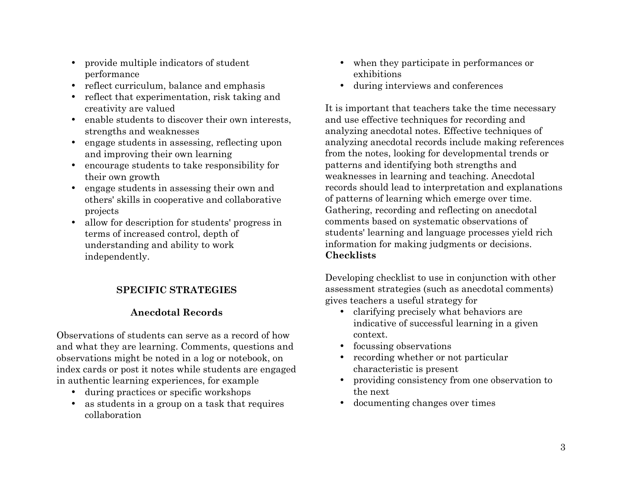- provide multiple indicators of student performance
- reflect curriculum, balance and emphasis during interviews and conferences
- reflect that experimentation, risk taking and
- enable students to discover their own interests. strengths and weaknesses
- engage students in assessing, reflecting upon and improving their own learning
- encourage students to take responsibility for their own growth
- engage students in assessing their own and others' skills in cooperative and collaborative projects
- allow for description for students' progress in terms of increased control, depth of understanding and ability to work independently. **Checklists**

# **SPECIFIC STRATEGIES**

# **Anecdotal Records**

Observations of students can serve as a record of how and what they are learning. Comments, questions and observations might be noted in a log or notebook, on index cards or post it notes while students are engaged in authentic learning experiences, for example

- during practices or specific workshops the next
- as students in a group on a task that requires documenting changes over times collaboration
- when they participate in performances or exhibitions
- 

creativity are valued It is important that teachers take the time necessary and use effective techniques for recording and analyzing anecdotal notes. Effective techniques of analyzing anecdotal records include making references from the notes, looking for developmental trends or patterns and identifying both strengths and weaknesses in learning and teaching. Anecdotal records should lead to interpretation and explanations of patterns of learning which emerge over time. Gathering, recording and reflecting on anecdotal comments based on systematic observations of students' learning and language processes yield rich information for making judgments or decisions.

> Developing checklist to use in conjunction with other assessment strategies (such as anecdotal comments) gives teachers a useful strategy for

- clarifying precisely what behaviors are indicative of successful learning in a given context.
- focussing observations
- recording whether or not particular characteristic is present
- providing consistency from one observation to
-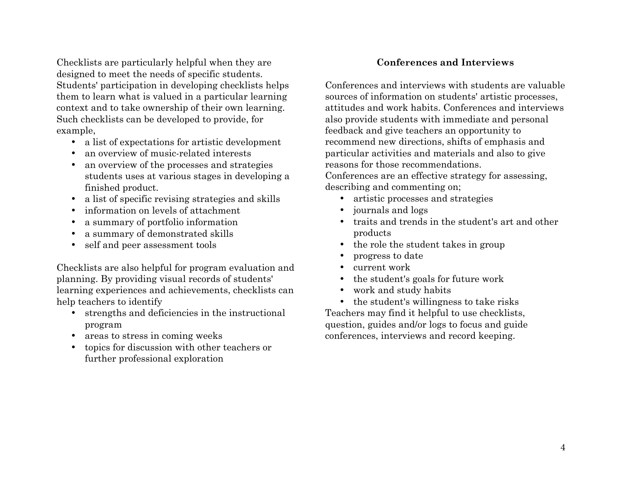Checklists are particularly helpful when they are designed to meet the needs of specific students. Students' participation in developing checklists helps them to learn what is valued in a particular learning context and to take ownership of their own learning. Such checklists can be developed to provide, for example,

- a list of expectations for artistic development
- an overview of music-related interests
- an overview of the processes and strategies students uses at various stages in developing a finished product.
- a list of specific revising strategies and skills artistic processes and strategies
- information on levels of attachment journals and logs
- a summary of portfolio information
- a summary of demonstrated skills
- 

Checklists are also helpful for program evaluation and • current work planning. By providing visual records of students' learning experiences and achievements, checklists can help teachers to identify

- strengths and deficiencies in the instructional program
- 
- topics for discussion with other teachers or further professional exploration

### **Conferences and Interviews**

Conferences and interviews with students are valuable sources of information on students' artistic processes, attitudes and work habits. Conferences and interviews also provide students with immediate and personal feedback and give teachers an opportunity to recommend new directions, shifts of emphasis and particular activities and materials and also to give reasons for those recommendations.

Conferences are an effective strategy for assessing, describing and commenting on;

- 
- 
- traits and trends in the student's art and other products
- self and peer assessment tools the role the student takes in group
	- progress to date
	-
	- the student's goals for future work
	- work and study habits
- the student's willingness to take risks Teachers may find it helpful to use checklists, question, guides and/or logs to focus and guide • areas to stress in coming weeks conferences, interviews and record keeping.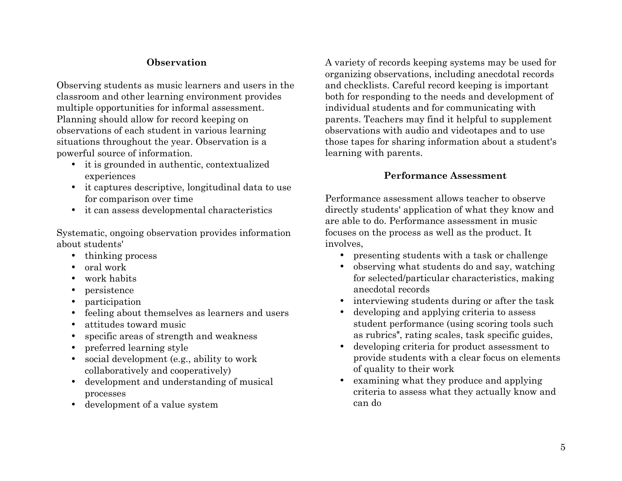## **Observation**

Observing students as music learners and users in the classroom and other learning environment provides multiple opportunities for informal assessment. Planning should allow for record keeping on observations of each student in various learning situations throughout the year. Observation is a powerful source of information.

- it is grounded in authentic, contextualized experiences **Performance Assessment**
- it captures descriptive, longitudinal data to use
- it can assess developmental characteristics

Systematic, ongoing observation provides information about students'

- 
- oral work
- work habits
- persistence
- 
- feeling about themselves as learners and users
- attitudes toward music
- specific areas of strength and weakness
- preferred learning style
- social development (e.g., ability to work collaboratively and cooperatively)
- development and understanding of musical processes
- development of a value system

A variety of records keeping systems may be used for organizing observations, including anecdotal records and checklists. Careful record keeping is important both for responding to the needs and development of individual students and for communicating with parents. Teachers may find it helpful to supplement observations with audio and videotapes and to use those tapes for sharing information about a student's learning with parents.

for comparison over time Performance assessment allows teacher to observe directly students' application of what they know and are able to do. Performance assessment in music focuses on the process as well as the product. It involves,

- thinking process presenting students with a task or challenge
	- observing what students do and say, watching for selected/particular characteristics, making anecdotal records
- participation interviewing students during or after the task
	- developing and applying criteria to assess student performance (using scoring tools such as rubrics**\***, rating scales, task specific guides,
	- developing criteria for product assessment to provide students with a clear focus on elements of quality to their work
	- examining what they produce and applying criteria to assess what they actually know and can do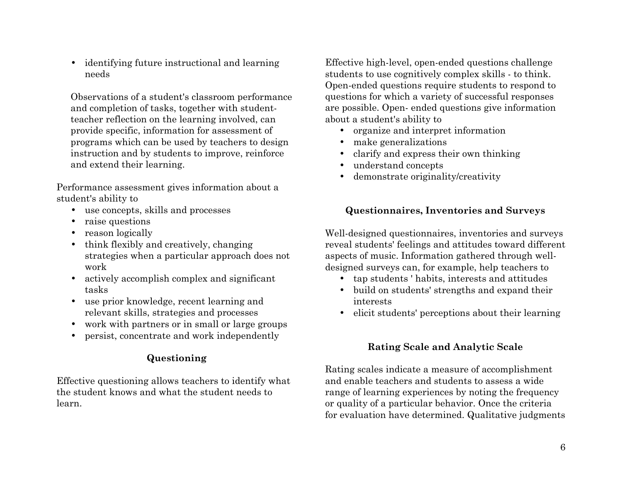• identifying future instructional and learning needs

Observations of a student's classroom performance and completion of tasks, together with studentteacher reflection on the learning involved, can provide specific, information for assessment of programs which can be used by teachers to design instruction and by students to improve, reinforce and extend their learning.

Performance assessment gives information about a student's ability to

- 
- raise questions
- 
- think flexibly and creatively, changing strategies when a particular approach does not work
- actively accomplish complex and significant tasks
- use prior knowledge, recent learning and interests
- work with partners or in small or large groups
- persist, concentrate and work independently

### **Questioning**

Effective questioning allows teachers to identify what the student knows and what the student needs to learn.

Effective high-level, open-ended questions challenge students to use cognitively complex skills - to think. Open-ended questions require students to respond to questions for which a variety of successful responses are possible. Open- ended questions give information about a student's ability to

- organize and interpret information
- make generalizations
- clarify and express their own thinking
- understand concepts
- demonstrate originality/creativity

# • use concepts, skills and processes **Questionnaires, Inventories and Surveys**

• reason logically **vell-designed questionnaires**, inventories and surveys reveal students' feelings and attitudes toward different aspects of music. Information gathered through welldesigned surveys can, for example, help teachers to

- tap students ' habits, interests and attitudes
- build on students' strengths and expand their
- relevant skills, strategies and processes elicit students' perceptions about their learning

### **Rating Scale and Analytic Scale**

Rating scales indicate a measure of accomplishment and enable teachers and students to assess a wide range of learning experiences by noting the frequency or quality of a particular behavior. Once the criteria for evaluation have determined. Qualitative judgments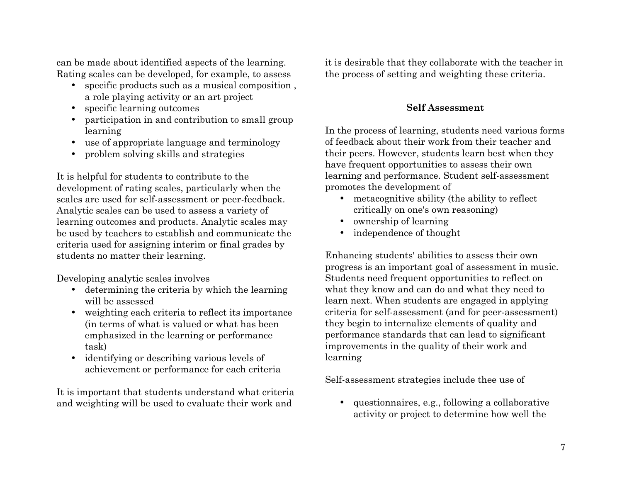can be made about identified aspects of the learning. Rating scales can be developed, for example, to assess

- specific products such as a musical composition , a role playing activity or an art project
- specific learning outcomes
- participation in and contribution to small group learning
- use of appropriate language and terminology
- problem solving skills and strategies

It is helpful for students to contribute to the development of rating scales, particularly when the scales are used for self-assessment or peer-feedback. Analytic scales can be used to assess a variety of learning outcomes and products. Analytic scales may be used by teachers to establish and communicate the criteria used for assigning interim or final grades by students no matter their learning.

Developing analytic scales involves

- determining the criteria by which the learning will be assessed
- weighting each criteria to reflect its importance (in terms of what is valued or what has been emphasized in the learning or performance task)
- identifying or describing various levels of achievement or performance for each criteria

It is important that students understand what criteria and weighting will be used to evaluate their work and

it is desirable that they collaborate with the teacher in the process of setting and weighting these criteria.

## **Self Assessment**

In the process of learning, students need various forms of feedback about their work from their teacher and their peers. However, students learn best when they have frequent opportunities to assess their own learning and performance. Student self-assessment promotes the development of

- metacognitive ability (the ability to reflect critically on one's own reasoning)
- ownership of learning
- independence of thought

Enhancing students' abilities to assess their own progress is an important goal of assessment in music. Students need frequent opportunities to reflect on what they know and can do and what they need to learn next. When students are engaged in applying criteria for self-assessment (and for peer-assessment) they begin to internalize elements of quality and performance standards that can lead to significant improvements in the quality of their work and learning

Self-assessment strategies include thee use of

• questionnaires, e.g., following a collaborative activity or project to determine how well the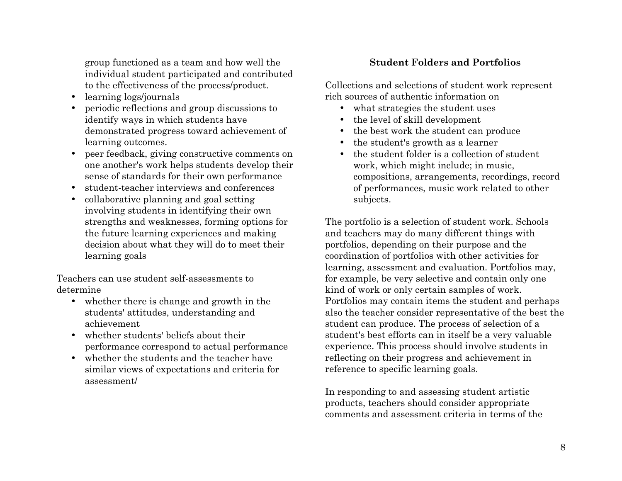group functioned as a team and how well the individual student participated and contributed to the effectiveness of the process/product.

- 
- periodic reflections and group discussions to what strategies the student uses identify ways in which students have demonstrated progress toward achievement of learning outcomes.
- peer feedback, giving constructive comments on one another's work helps students develop their sense of standards for their own performance
- student-teacher interviews and conferences
- collaborative planning and goal setting involving students in identifying their own strengths and weaknesses, forming options for the future learning experiences and making decision about what they will do to meet their learning goals

Teachers can use student self-assessments to determine

- whether there is change and growth in the students' attitudes, understanding and achievement
- whether students' beliefs about their performance correspond to actual performance
- whether the students and the teacher have similar views of expectations and criteria for assessment/

# **Student Folders and Portfolios**

Collections and selections of student work represent • learning logs/journals rich sources of authentic information on

- 
- the level of skill development
- the best work the student can produce
- the student's growth as a learner
- the student folder is a collection of student work, which might include; in music, compositions, arrangements, recordings, record of performances, music work related to other subjects.

The portfolio is a selection of student work. Schools and teachers may do many different things with portfolios, depending on their purpose and the coordination of portfolios with other activities for learning, assessment and evaluation. Portfolios may, for example, be very selective and contain only one kind of work or only certain samples of work. Portfolios may contain items the student and perhaps also the teacher consider representative of the best the student can produce. The process of selection of a student's best efforts can in itself be a very valuable experience. This process should involve students in reflecting on their progress and achievement in reference to specific learning goals.

In responding to and assessing student artistic products, teachers should consider appropriate comments and assessment criteria in terms of the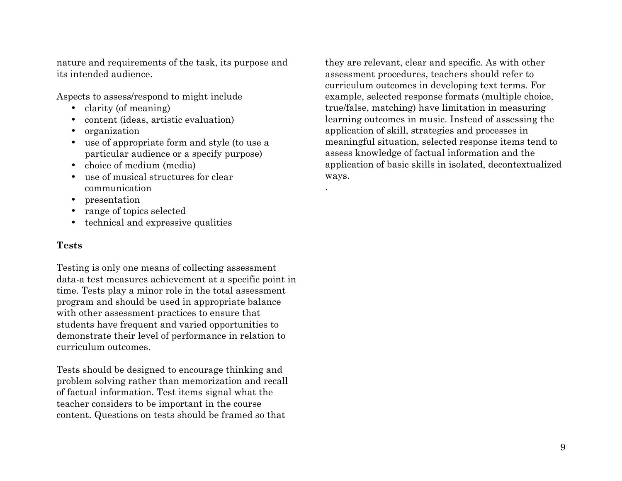nature and requirements of the task, its purpose and its intended audience.

Aspects to assess/respond to might include

- clarity (of meaning)
- content (ideas, artistic evaluation)
- organization
- use of appropriate form and style (to use a particular audience or a specify purpose)
- choice of medium (media)
- use of musical structures for clear communication
- presentation
- range of topics selected
- technical and expressive qualities

#### **Tests**

Testing is only one means of collecting assessment data-a test measures achievement at a specific point in time. Tests play a minor role in the total assessment program and should be used in appropriate balance with other assessment practices to ensure that students have frequent and varied opportunities to demonstrate their level of performance in relation to curriculum outcomes.

Tests should be designed to encourage thinking and problem solving rather than memorization and recall of factual information. Test items signal what the teacher considers to be important in the course content. Questions on tests should be framed so that

they are relevant, clear and specific. As with other assessment procedures, teachers should refer to curriculum outcomes in developing text terms. For example, selected response formats (multiple choice, true/false, matching) have limitation in measuring learning outcomes in music. Instead of assessing the application of skill, strategies and processes in meaningful situation, selected response items tend to assess knowledge of factual information and the application of basic skills in isolated, decontextualized ways.

.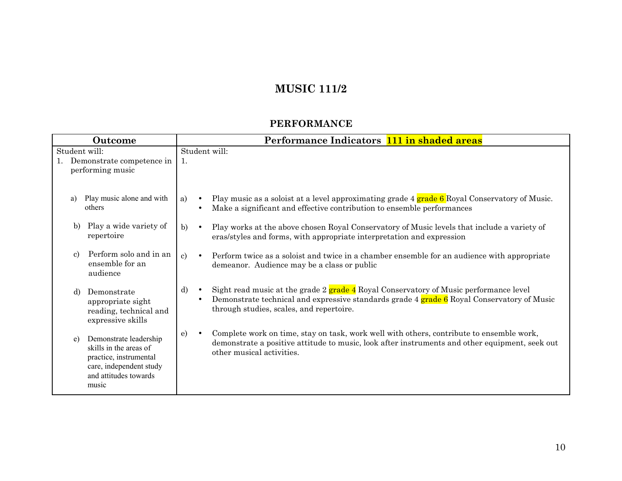# **MUSIC 111/2**

#### **PERFORMANCE**

|               | Outcome                                                                                                                                 | Performance Indicators 111 in shaded areas                                                                                                                                                                                                                      |
|---------------|-----------------------------------------------------------------------------------------------------------------------------------------|-----------------------------------------------------------------------------------------------------------------------------------------------------------------------------------------------------------------------------------------------------------------|
| Student will: | 1. Demonstrate competence in<br>performing music                                                                                        | Student will:<br>1.                                                                                                                                                                                                                                             |
| a)            | Play music alone and with<br>others                                                                                                     | Play music as a soloist at a level approximating grade 4 grade 6 Royal Conservatory of Music.<br>a)<br>$\bullet$<br>Make a significant and effective contribution to ensemble performances<br>$\bullet$                                                         |
| b)            | Play a wide variety of<br>repertoire                                                                                                    | Play works at the above chosen Royal Conservatory of Music levels that include a variety of<br>b)<br>$\bullet$<br>eras/styles and forms, with appropriate interpretation and expression                                                                         |
| $\mathbf{c}$  | Perform solo and in an<br>ensemble for an<br>audience                                                                                   | $\mathbf{c}$<br>Perform twice as a soloist and twice in a chamber ensemble for an audience with appropriate<br>$\bullet$<br>demeanor. Audience may be a class or public                                                                                         |
| d)            | Demonstrate<br>appropriate sight<br>reading, technical and<br>expressive skills                                                         | Sight read music at the grade 2 grade 4 Royal Conservatory of Music performance level<br>d)<br>$\bullet$<br>Demonstrate technical and expressive standards grade 4 grade 6 Royal Conservatory of Music<br>$\bullet$<br>through studies, scales, and repertoire. |
| e)            | Demonstrate leadership<br>skills in the areas of<br>practice, instrumental<br>care, independent study<br>and attitudes towards<br>music | Complete work on time, stay on task, work well with others, contribute to ensemble work,<br>$\epsilon$<br>demonstrate a positive attitude to music, look after instruments and other equipment, seek out<br>other musical activities.                           |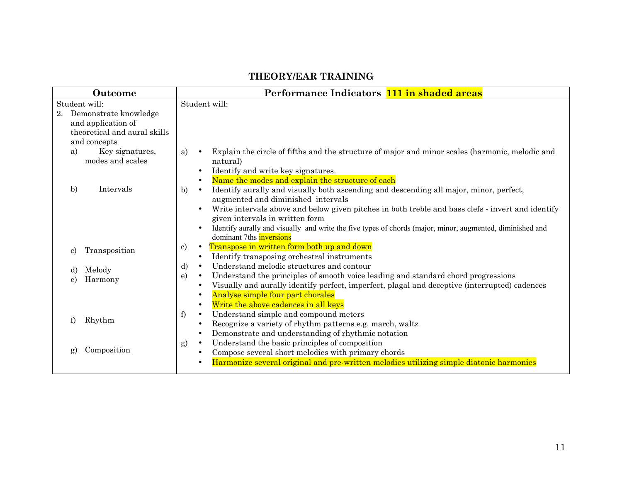#### **THEORY/EAR TRAINING**

| <b>Outcome</b>                                                                                     | Performance Indicators 111 in shaded areas                                                                                                                                                                                                                                                                                                                                                                                                                                                               |  |  |  |
|----------------------------------------------------------------------------------------------------|----------------------------------------------------------------------------------------------------------------------------------------------------------------------------------------------------------------------------------------------------------------------------------------------------------------------------------------------------------------------------------------------------------------------------------------------------------------------------------------------------------|--|--|--|
| Student will:<br>Demonstrate knowledge<br>2.<br>and application of<br>theoretical and aural skills | Student will:                                                                                                                                                                                                                                                                                                                                                                                                                                                                                            |  |  |  |
| and concepts<br>Key signatures,<br>a)<br>modes and scales                                          | Explain the circle of fifths and the structure of major and minor scales (harmonic, melodic and<br>a)<br>natural)<br>Identify and write key signatures.                                                                                                                                                                                                                                                                                                                                                  |  |  |  |
| $\mathbf{b}$<br>Intervals                                                                          | Name the modes and explain the structure of each<br>$\bullet$<br>Identify aurally and visually both ascending and descending all major, minor, perfect,<br>b)<br>$\bullet$<br>augmented and diminished intervals<br>Write intervals above and below given pitches in both treble and bass clefs - invert and identify<br>given intervals in written form<br>Identify aurally and visually and write the five types of chords (major, minor, augmented, diminished and<br>dominant 7ths <b>inversions</b> |  |  |  |
| Transposition<br>c)                                                                                | Transpose in written form both up and down<br>c)<br>$\bullet$<br>Identify transposing orchestral instruments<br>$\bullet$                                                                                                                                                                                                                                                                                                                                                                                |  |  |  |
| Melody<br>d)<br>Harmony<br>e)                                                                      | Understand melodic structures and contour<br>d)<br>$\bullet$<br>Understand the principles of smooth voice leading and standard chord progressions<br>e)<br>$\bullet$<br>Visually and aurally identify perfect, imperfect, plagal and deceptive (interrupted) cadences<br>$\bullet$<br>Analyse simple four part chorales<br>$\bullet$<br>Write the above cadences in all keys<br>$\bullet$                                                                                                                |  |  |  |
| Rhythm<br>f                                                                                        | Understand simple and compound meters<br>f<br>$\bullet$<br>Recognize a variety of rhythm patterns e.g. march, waltz<br>$\bullet$<br>Demonstrate and understanding of rhythmic notation<br>$\bullet$                                                                                                                                                                                                                                                                                                      |  |  |  |
| Composition<br>g)                                                                                  | Understand the basic principles of composition<br>g)<br>$\bullet$<br>Compose several short melodies with primary chords<br>$\bullet$<br>Harmonize several original and pre-written melodies utilizing simple diatonic harmonies                                                                                                                                                                                                                                                                          |  |  |  |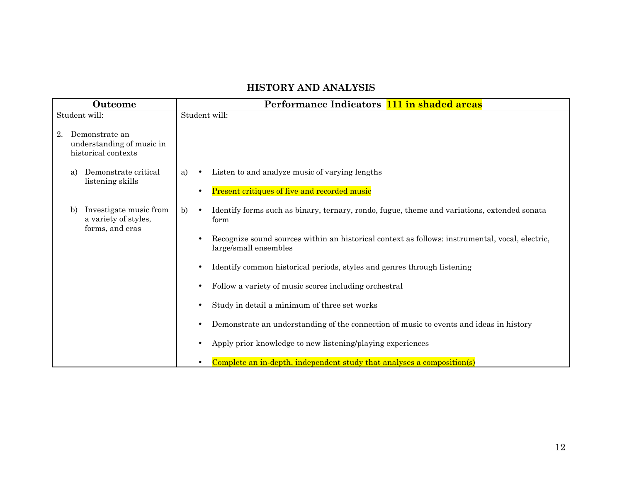# **HISTORY AND ANALYSIS**

| Outcome       |    | Performance Indicators 111 in shaded areas                         |    |           |                                                                                                                          |
|---------------|----|--------------------------------------------------------------------|----|-----------|--------------------------------------------------------------------------------------------------------------------------|
| Student will: |    | Student will:                                                      |    |           |                                                                                                                          |
| 2.            |    | Demonstrate an<br>understanding of music in<br>historical contexts |    |           |                                                                                                                          |
|               | a) | Demonstrate critical<br>listening skills                           | a) | $\bullet$ | Listen to and analyze music of varying lengths                                                                           |
|               |    |                                                                    |    | $\bullet$ | Present critiques of live and recorded music                                                                             |
|               | b) | Investigate music from<br>a variety of styles,<br>forms, and eras  | b) | $\bullet$ | Identify forms such as binary, ternary, rondo, fugue, theme and variations, extended sonata<br>form                      |
|               |    |                                                                    |    |           | Recognize sound sources within an historical context as follows: instrumental, vocal, electric,<br>large/small ensembles |
|               |    |                                                                    |    | $\bullet$ | Identify common historical periods, styles and genres through listening                                                  |
|               |    |                                                                    |    |           | Follow a variety of music scores including orchestral                                                                    |
|               |    |                                                                    |    |           | Study in detail a minimum of three set works                                                                             |
|               |    |                                                                    |    | $\bullet$ | Demonstrate an understanding of the connection of music to events and ideas in history                                   |
|               |    |                                                                    |    |           | Apply prior knowledge to new listening/playing experiences                                                               |
|               |    |                                                                    |    |           | Complete an in-depth, independent study that analyses a composition(s)                                                   |